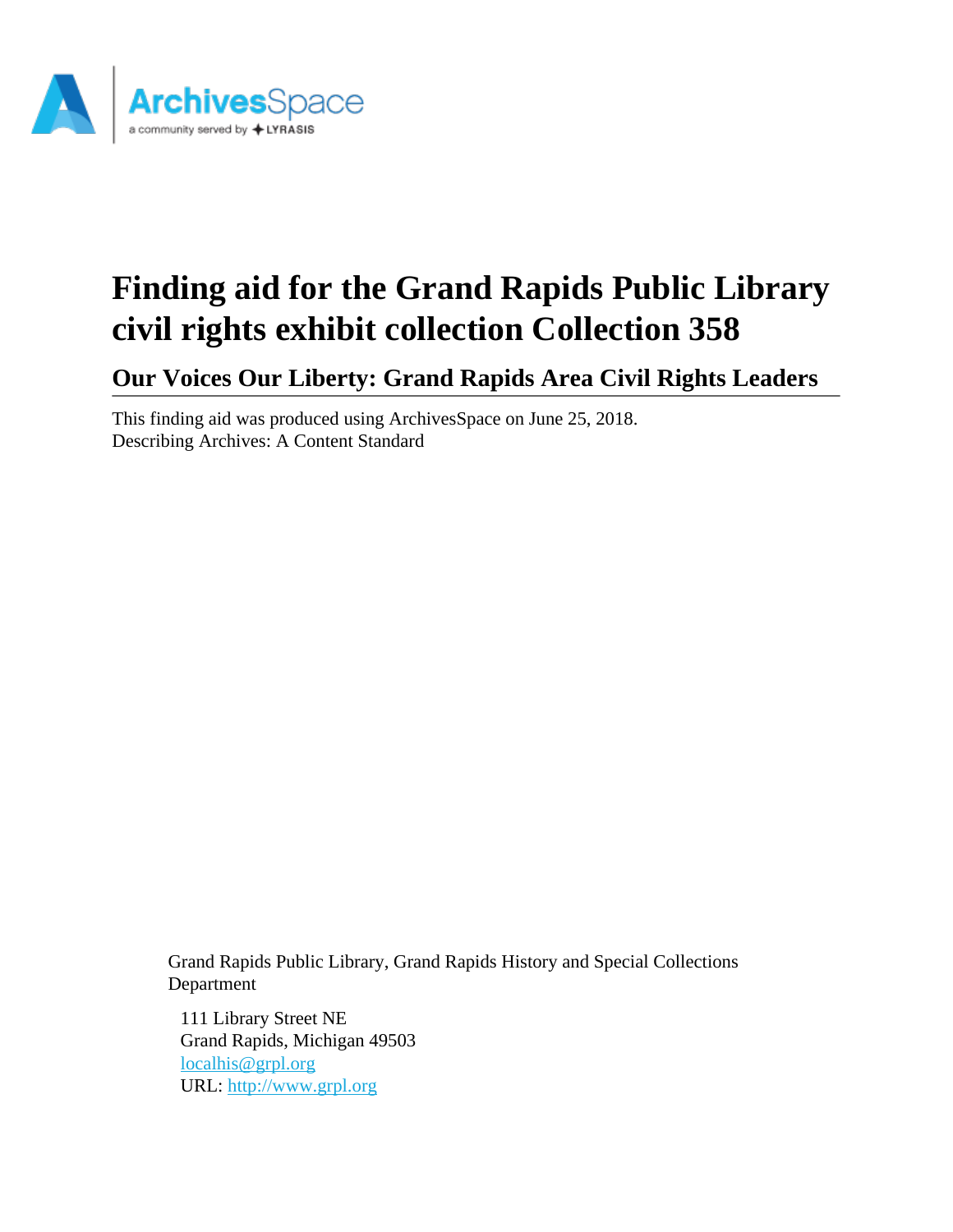

# **Finding aid for the Grand Rapids Public Library civil rights exhibit collection Collection 358**

**Our Voices Our Liberty: Grand Rapids Area Civil Rights Leaders**

This finding aid was produced using ArchivesSpace on June 25, 2018. Describing Archives: A Content Standard

> Grand Rapids Public Library, Grand Rapids History and Special Collections Department

111 Library Street NE Grand Rapids, Michigan 49503 [localhis@grpl.org](mailto:localhis@grpl.org) URL:<http://www.grpl.org>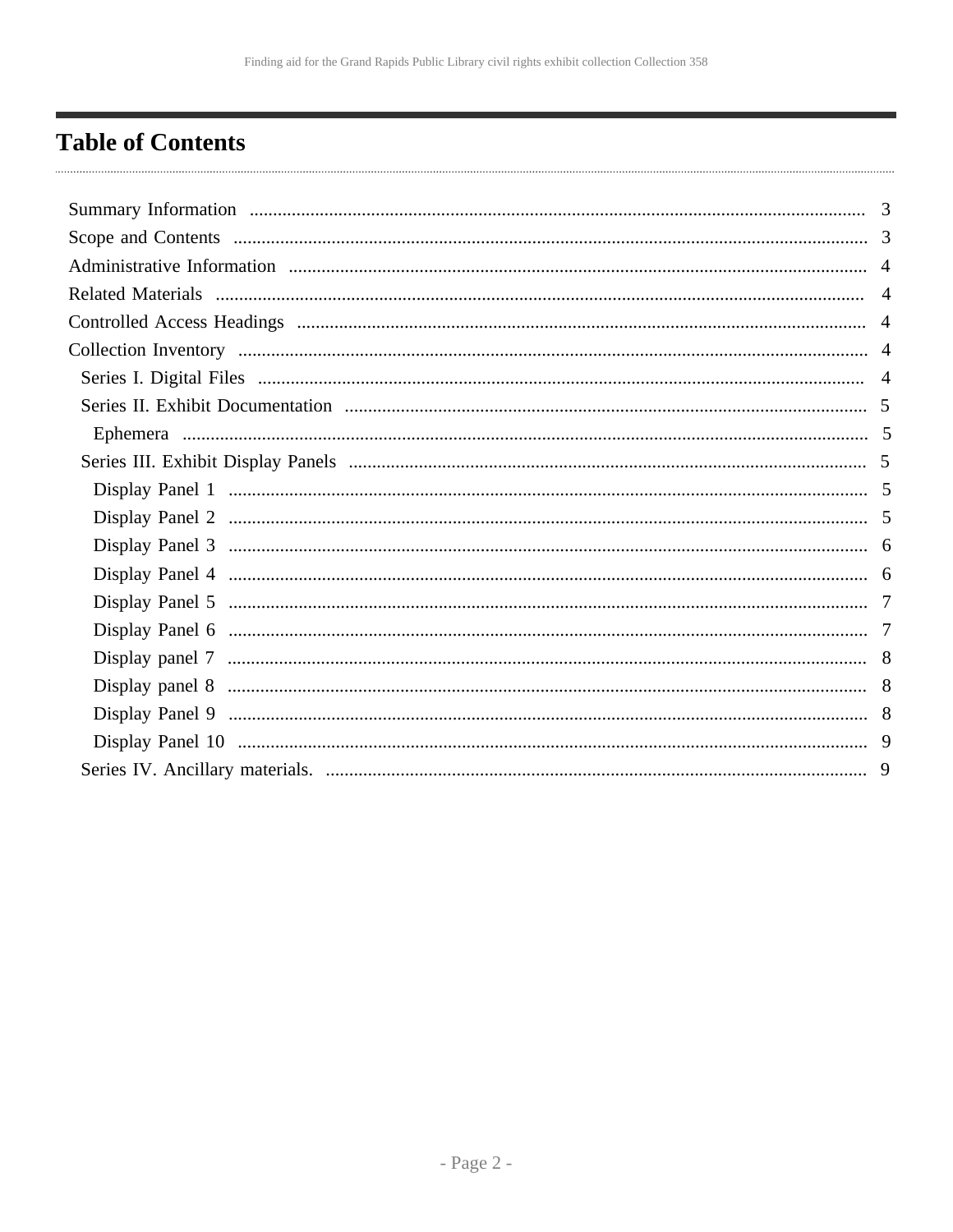## <span id="page-1-0"></span>**Table of Contents**

| 3 |
|---|
|   |
|   |
|   |
|   |
|   |
|   |
|   |
|   |
|   |
|   |
|   |
|   |
|   |
|   |
|   |
|   |
|   |
|   |
|   |
|   |
|   |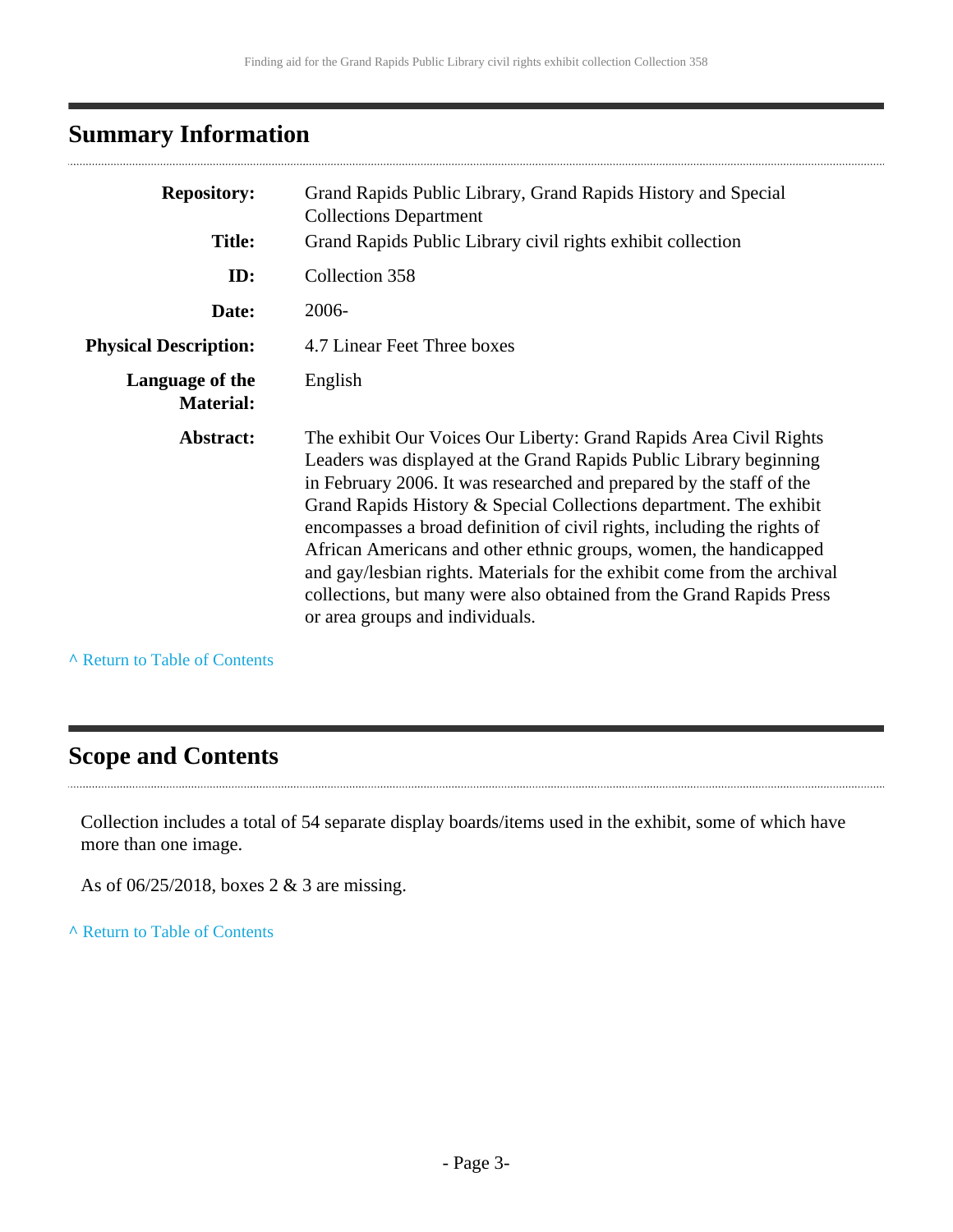## <span id="page-2-0"></span>**Summary Information**

| <b>Repository:</b>                  | Grand Rapids Public Library, Grand Rapids History and Special<br><b>Collections Department</b>                                                                                                                                                                                                                                                                                                                                                                                                                                                                                                                                |
|-------------------------------------|-------------------------------------------------------------------------------------------------------------------------------------------------------------------------------------------------------------------------------------------------------------------------------------------------------------------------------------------------------------------------------------------------------------------------------------------------------------------------------------------------------------------------------------------------------------------------------------------------------------------------------|
| <b>Title:</b>                       | Grand Rapids Public Library civil rights exhibit collection                                                                                                                                                                                                                                                                                                                                                                                                                                                                                                                                                                   |
| ID:                                 | Collection 358                                                                                                                                                                                                                                                                                                                                                                                                                                                                                                                                                                                                                |
| Date:                               | 2006-                                                                                                                                                                                                                                                                                                                                                                                                                                                                                                                                                                                                                         |
| <b>Physical Description:</b>        | 4.7 Linear Feet Three boxes                                                                                                                                                                                                                                                                                                                                                                                                                                                                                                                                                                                                   |
| Language of the<br><b>Material:</b> | English                                                                                                                                                                                                                                                                                                                                                                                                                                                                                                                                                                                                                       |
| Abstract:                           | The exhibit Our Voices Our Liberty: Grand Rapids Area Civil Rights<br>Leaders was displayed at the Grand Rapids Public Library beginning<br>in February 2006. It was researched and prepared by the staff of the<br>Grand Rapids History & Special Collections department. The exhibit<br>encompasses a broad definition of civil rights, including the rights of<br>African Americans and other ethnic groups, women, the handicapped<br>and gay/lesbian rights. Materials for the exhibit come from the archival<br>collections, but many were also obtained from the Grand Rapids Press<br>or area groups and individuals. |

**^** [Return to Table of Contents](#page-1-0)

### <span id="page-2-1"></span>**Scope and Contents**

Collection includes a total of 54 separate display boards/items used in the exhibit, some of which have more than one image.

As of 06/25/2018, boxes 2 & 3 are missing.

**^** [Return to Table of Contents](#page-1-0)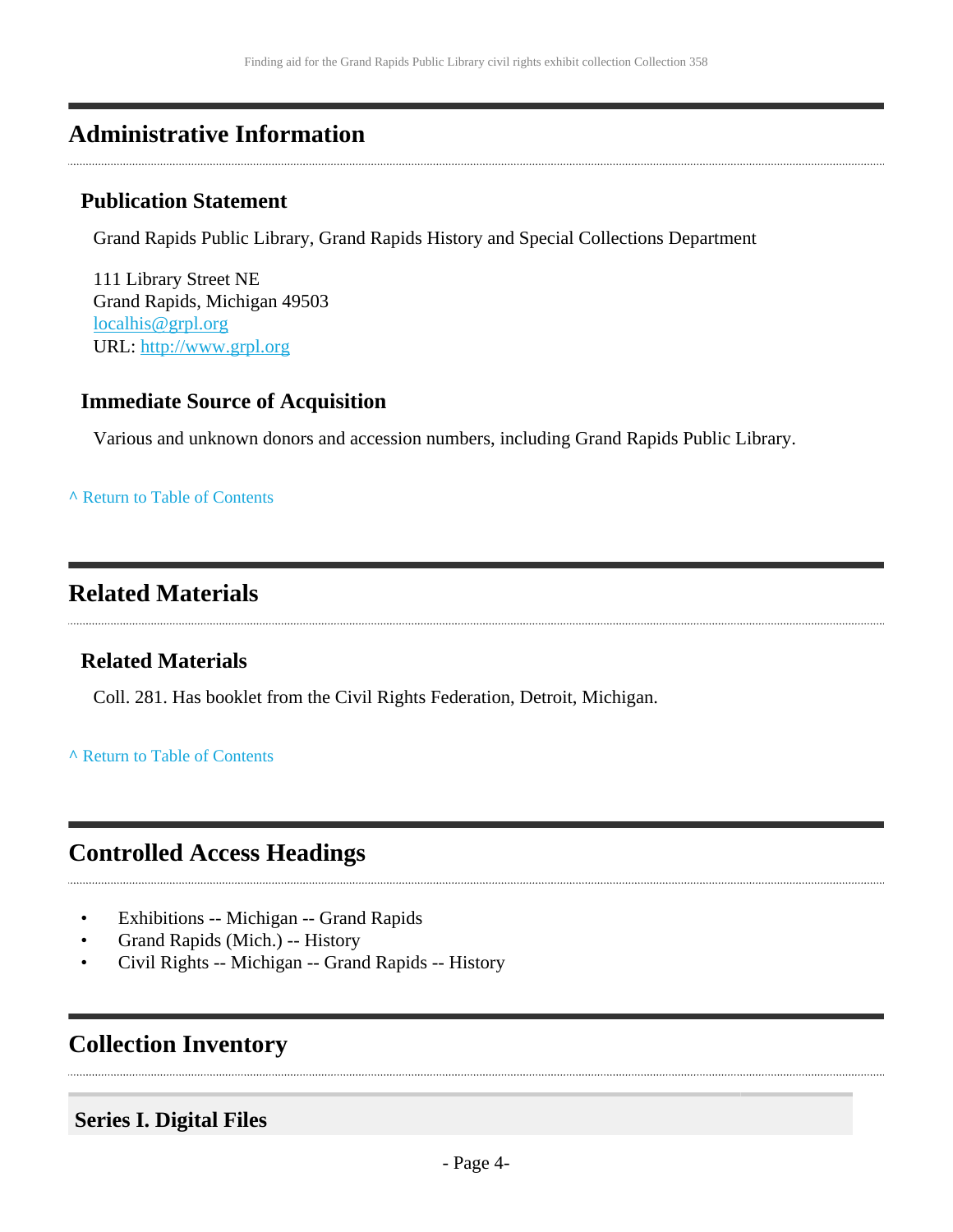### <span id="page-3-0"></span>**Administrative Information**

### **Publication Statement**

Grand Rapids Public Library, Grand Rapids History and Special Collections Department

111 Library Street NE Grand Rapids, Michigan 49503 [localhis@grpl.org](mailto:localhis@grpl.org) URL:<http://www.grpl.org>

### **Immediate Source of Acquisition**

Various and unknown donors and accession numbers, including Grand Rapids Public Library.

#### **^** [Return to Table of Contents](#page-1-0)

### <span id="page-3-1"></span>**Related Materials**

### **Related Materials**

Coll. 281. Has booklet from the Civil Rights Federation, Detroit, Michigan.

#### **^** [Return to Table of Contents](#page-1-0)

### <span id="page-3-2"></span>**Controlled Access Headings**

- Exhibitions -- Michigan -- Grand Rapids
- Grand Rapids (Mich.) -- History
- Civil Rights -- Michigan -- Grand Rapids -- History

### <span id="page-3-3"></span>**Collection Inventory**

### <span id="page-3-4"></span>**Series I. Digital Files**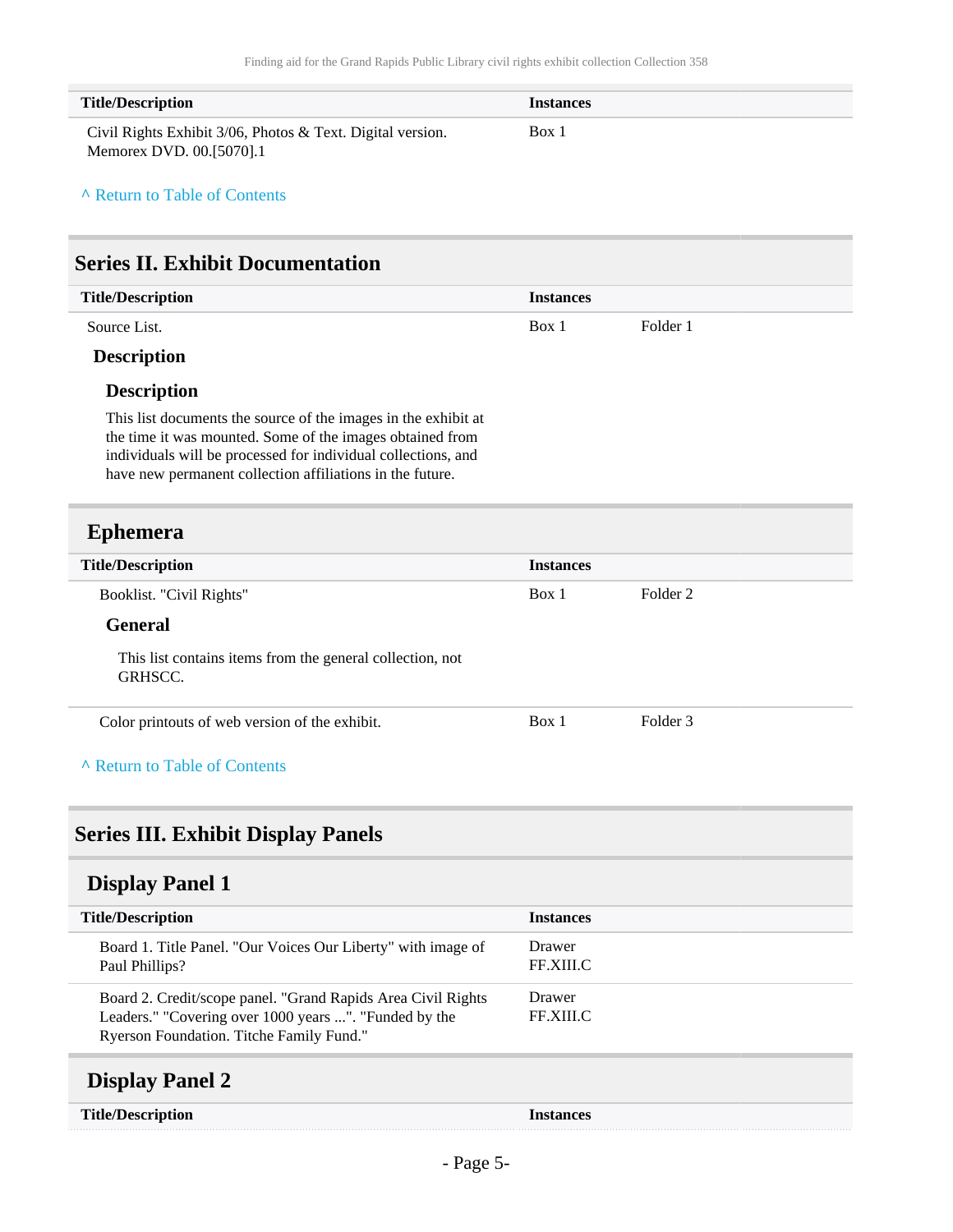| <b>Title/Description</b>                                                               | <i>Instances</i> |
|----------------------------------------------------------------------------------------|------------------|
| Civil Rights Exhibit 3/06, Photos & Text. Digital version.<br>Memorex DVD. 00.[5070].1 | Box 1            |

#### **^** [Return to Table of Contents](#page-1-0)

<span id="page-4-0"></span>

|  | <b>Series II. Exhibit Documentation</b> |
|--|-----------------------------------------|
|  |                                         |

| <b>Title/Description</b>    | <b>Instances</b> |          |
|-----------------------------|------------------|----------|
| Source List.                | Box 1            | Folder 1 |
| $\mathbf{r}$ . $\mathbf{r}$ |                  |          |

#### **Description**

#### **Description**

This list documents the source of the images in the exhibit at the time it was mounted. Some of the images obtained from individuals will be processed for individual collections, and have new permanent collection affiliations in the future.

### <span id="page-4-1"></span>**Ephemera**

| <b>Title/Description</b>                                             | <b>Instances</b> |          |  |
|----------------------------------------------------------------------|------------------|----------|--|
| Booklist. "Civil Rights"                                             | Box 1            | Folder 2 |  |
| <b>General</b>                                                       |                  |          |  |
| This list contains items from the general collection, not<br>GRHSCC. |                  |          |  |
| Color printouts of web version of the exhibit.                       | Box 1            | Folder 3 |  |
| A Return to Table of Contents                                        |                  |          |  |

### <span id="page-4-2"></span>**Series III. Exhibit Display Panels**

### <span id="page-4-3"></span>**Display Panel 1**

<span id="page-4-4"></span>

| <b>Title/Description</b>                                                                                                                                           | <b>Instances</b>    |
|--------------------------------------------------------------------------------------------------------------------------------------------------------------------|---------------------|
| Board 1. Title Panel. "Our Voices Our Liberty" with image of<br>Paul Phillips?                                                                                     | Drawer<br>FF.XIII.C |
| Board 2. Credit/scope panel. "Grand Rapids Area Civil Rights"<br>Leaders." "Covering over 1000 years ". "Funded by the<br>Ryerson Foundation. Titche Family Fund." | Drawer<br>FF.XIII.C |
| <b>Display Panel 2</b>                                                                                                                                             |                     |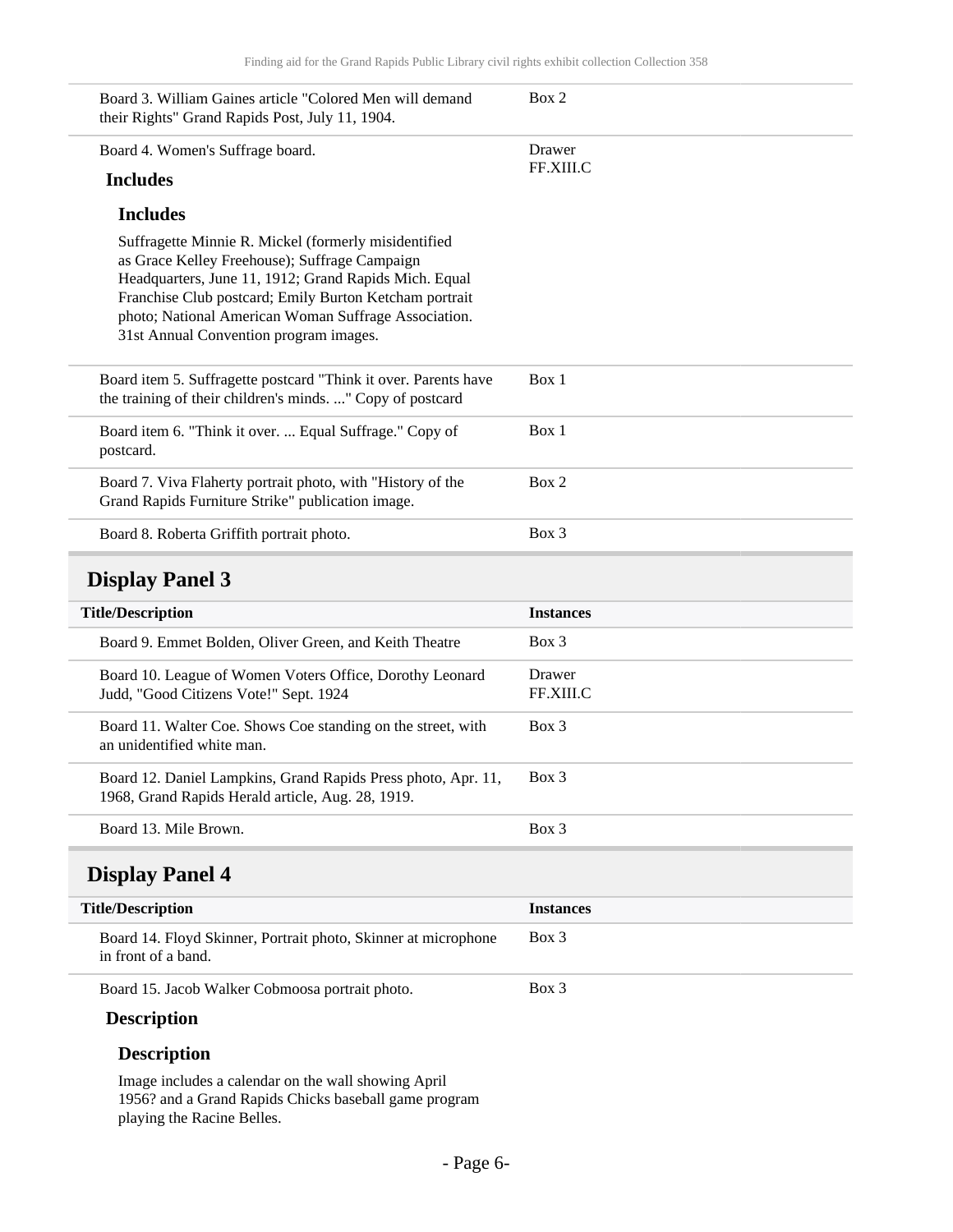| Board 3. William Gaines article "Colored Men will demand<br>their Rights" Grand Rapids Post, July 11, 1904.                                                                                                                                                                                                                | Box 2               |
|----------------------------------------------------------------------------------------------------------------------------------------------------------------------------------------------------------------------------------------------------------------------------------------------------------------------------|---------------------|
| Board 4. Women's Suffrage board.                                                                                                                                                                                                                                                                                           | Drawer              |
| <b>Includes</b>                                                                                                                                                                                                                                                                                                            | FF.XIII.C           |
| <b>Includes</b>                                                                                                                                                                                                                                                                                                            |                     |
| Suffragette Minnie R. Mickel (formerly misidentified<br>as Grace Kelley Freehouse); Suffrage Campaign<br>Headquarters, June 11, 1912; Grand Rapids Mich. Equal<br>Franchise Club postcard; Emily Burton Ketcham portrait<br>photo; National American Woman Suffrage Association.<br>31st Annual Convention program images. |                     |
| Board item 5. Suffragette postcard "Think it over. Parents have<br>the training of their children's minds. " Copy of postcard                                                                                                                                                                                              | Box 1               |
| Board item 6. "Think it over.  Equal Suffrage." Copy of<br>postcard.                                                                                                                                                                                                                                                       | Box 1               |
| Board 7. Viva Flaherty portrait photo, with "History of the<br>Grand Rapids Furniture Strike" publication image.                                                                                                                                                                                                           | Box 2               |
| Board 8. Roberta Griffith portrait photo.                                                                                                                                                                                                                                                                                  | Box 3               |
|                                                                                                                                                                                                                                                                                                                            |                     |
| <b>Display Panel 3</b>                                                                                                                                                                                                                                                                                                     |                     |
| <b>Title/Description</b>                                                                                                                                                                                                                                                                                                   | <b>Instances</b>    |
| Board 9. Emmet Bolden, Oliver Green, and Keith Theatre                                                                                                                                                                                                                                                                     | $Box$ 3             |
| Board 10. League of Women Voters Office, Dorothy Leonard<br>Judd, "Good Citizens Vote!" Sept. 1924                                                                                                                                                                                                                         | Drawer<br>FF.XIII.C |
| Board 11. Walter Coe. Shows Coe standing on the street, with<br>an unidentified white man.                                                                                                                                                                                                                                 | Box 3               |
| Board 12. Daniel Lampkins, Grand Rapids Press photo, Apr. 11,<br>1968, Grand Rapids Herald article, Aug. 28, 1919.                                                                                                                                                                                                         | Box 3               |
| Board 13. Mile Brown.                                                                                                                                                                                                                                                                                                      | Box 3               |
| <b>Display Panel 4</b>                                                                                                                                                                                                                                                                                                     |                     |
| <b>Title/Description</b>                                                                                                                                                                                                                                                                                                   | <b>Instances</b>    |
| Board 14. Floyd Skinner, Portrait photo, Skinner at microphone<br>in front of a band.                                                                                                                                                                                                                                      | Box 3               |
| Board 15. Jacob Walker Cobmoosa portrait photo.                                                                                                                                                                                                                                                                            | Box 3               |

#### <span id="page-5-1"></span><span id="page-5-0"></span>**Description**

Image includes a calendar on the wall showing April 1956? and a Grand Rapids Chicks baseball game program playing the Racine Belles.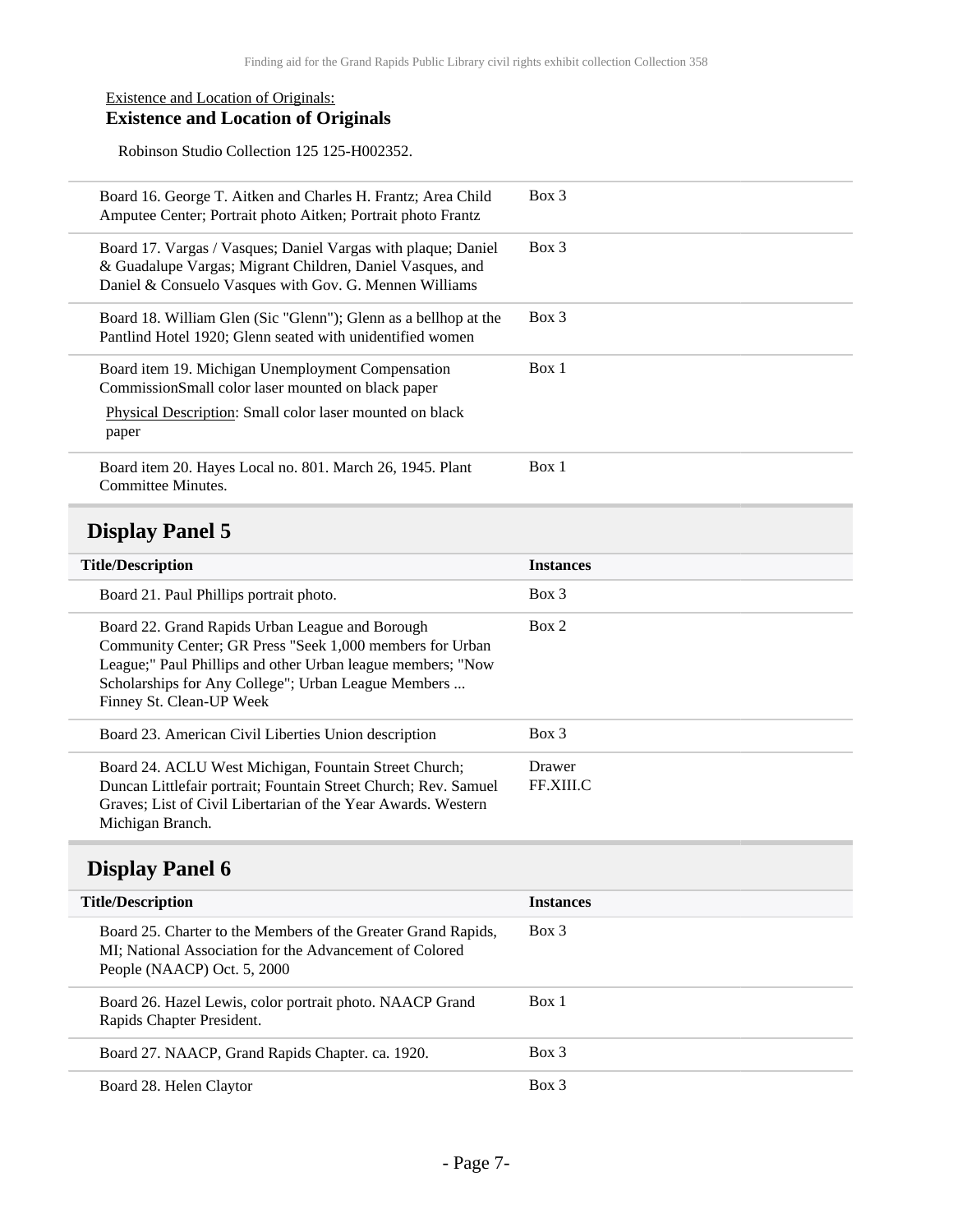#### Existence and Location of Originals: **Existence and Location of Originals**

Robinson Studio Collection 125 125-H002352.

| Board 16. George T. Aitken and Charles H. Frantz; Area Child<br>Amputee Center; Portrait photo Aitken; Portrait photo Frantz                                                         | Box 3   |
|--------------------------------------------------------------------------------------------------------------------------------------------------------------------------------------|---------|
| Board 17. Vargas / Vasques; Daniel Vargas with plaque; Daniel<br>& Guadalupe Vargas; Migrant Children, Daniel Vasques, and<br>Daniel & Consuelo Vasques with Gov. G. Mennen Williams | Box 3   |
| Board 18. William Glen (Sic "Glenn"); Glenn as a bellhop at the<br>Pantlind Hotel 1920; Glenn seated with unidentified women                                                         | $Box$ 3 |
| Board item 19. Michigan Unemployment Compensation<br>CommissionSmall color laser mounted on black paper<br><b>Physical Description:</b> Small color laser mounted on black<br>paper  | Box 1   |
| Board item 20. Hayes Local no. 801. March 26, 1945. Plant<br>Committee Minutes.                                                                                                      | Box 1   |

### <span id="page-6-0"></span>**Display Panel 5**

| <b>Title/Description</b>                                                                                                                                                                                                                                      | <b>Instances</b>    |
|---------------------------------------------------------------------------------------------------------------------------------------------------------------------------------------------------------------------------------------------------------------|---------------------|
| Board 21. Paul Phillips portrait photo.                                                                                                                                                                                                                       | $Box$ 3             |
| Board 22. Grand Rapids Urban League and Borough<br>Community Center; GR Press "Seek 1,000 members for Urban<br>League;" Paul Phillips and other Urban league members; "Now<br>Scholarships for Any College"; Urban League Members<br>Finney St. Clean-UP Week | Box 2               |
| Board 23. American Civil Liberties Union description                                                                                                                                                                                                          | $Box$ 3             |
| Board 24. ACLU West Michigan, Fountain Street Church;<br>Duncan Littlefair portrait; Fountain Street Church; Rev. Samuel<br>Graves; List of Civil Libertarian of the Year Awards. Western<br>Michigan Branch.                                                 | Drawer<br>FF.XIII.C |

### <span id="page-6-1"></span>**Display Panel 6**

| <b>Title/Description</b>                                                                                                                                | <b>Instances</b> |
|---------------------------------------------------------------------------------------------------------------------------------------------------------|------------------|
| Board 25. Charter to the Members of the Greater Grand Rapids,<br>MI; National Association for the Advancement of Colored<br>People (NAACP) Oct. 5, 2000 | Box 3            |
| Board 26. Hazel Lewis, color portrait photo. NAACP Grand<br>Rapids Chapter President.                                                                   | Box 1            |
| Board 27. NAACP, Grand Rapids Chapter. ca. 1920.                                                                                                        | $Box$ 3          |
| Board 28. Helen Claytor                                                                                                                                 | Box 3            |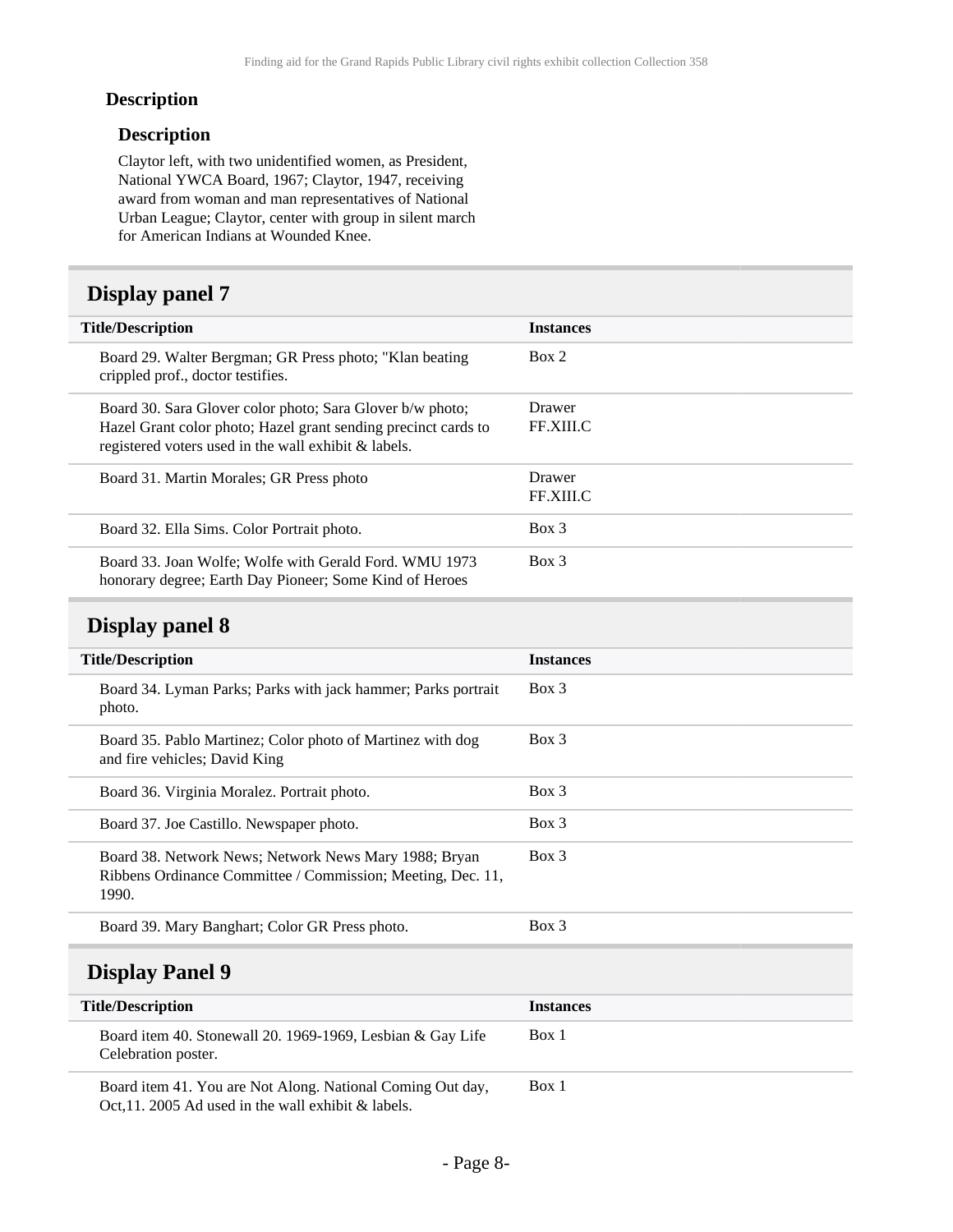#### **Description**

#### **Description**

Claytor left, with two unidentified women, as President, National YWCA Board, 1967; Claytor, 1947, receiving award from woman and man representatives of National Urban League; Claytor, center with group in silent march for American Indians at Wounded Knee.

## <span id="page-7-0"></span>**Display panel 7**

| <b>Title/Description</b>                                                                                                                                                            | <b>Instances</b>           |
|-------------------------------------------------------------------------------------------------------------------------------------------------------------------------------------|----------------------------|
| Board 29. Walter Bergman; GR Press photo; "Klan beating"<br>crippled prof., doctor testifies.                                                                                       | Box 2                      |
| Board 30. Sara Glover color photo; Sara Glover b/w photo;<br>Hazel Grant color photo; Hazel grant sending precinct cards to<br>registered voters used in the wall exhibit & labels. | Drawer<br><b>FF.XIII.C</b> |
| Board 31. Martin Morales; GR Press photo                                                                                                                                            | Drawer<br>FF.XIII.C        |
| Board 32. Ella Sims. Color Portrait photo.                                                                                                                                          | $Box$ 3                    |
| Board 33. Joan Wolfe: Wolfe with Gerald Ford. WMU 1973<br>honorary degree; Earth Day Pioneer; Some Kind of Heroes                                                                   | $Box$ 3                    |

### <span id="page-7-1"></span>**Display panel 8**

<span id="page-7-2"></span>Celebration poster.

| <b>Title/Description</b> |                                                                                                                               | <b>Instances</b> |
|--------------------------|-------------------------------------------------------------------------------------------------------------------------------|------------------|
|                          | Board 34. Lyman Parks; Parks with jack hammer; Parks portrait<br>photo.                                                       | $Box\ 3$         |
|                          | Board 35. Pablo Martinez; Color photo of Martinez with dog<br>and fire vehicles; David King                                   | $Box\ 3$         |
|                          | Board 36. Virginia Moralez. Portrait photo.                                                                                   | $Box\ 3$         |
|                          | Board 37. Joe Castillo. Newspaper photo.                                                                                      | $Box\ 3$         |
|                          | Board 38. Network News; Network News Mary 1988; Bryan<br>Ribbens Ordinance Committee / Commission; Meeting, Dec. 11,<br>1990. | $Box\ 3$         |
|                          | Board 39. Mary Banghart; Color GR Press photo.                                                                                | Box 3            |
| <b>Display Panel 9</b>   |                                                                                                                               |                  |
| <b>Title/Description</b> |                                                                                                                               | <b>Instances</b> |
|                          | Board item 40. Stonewall 20. 1969-1969, Lesbian & Gay Life                                                                    | Box 1            |

Board item 41. You are Not Along. National Coming Out day, Oct,11. 2005 Ad used in the wall exhibit & labels. Box 1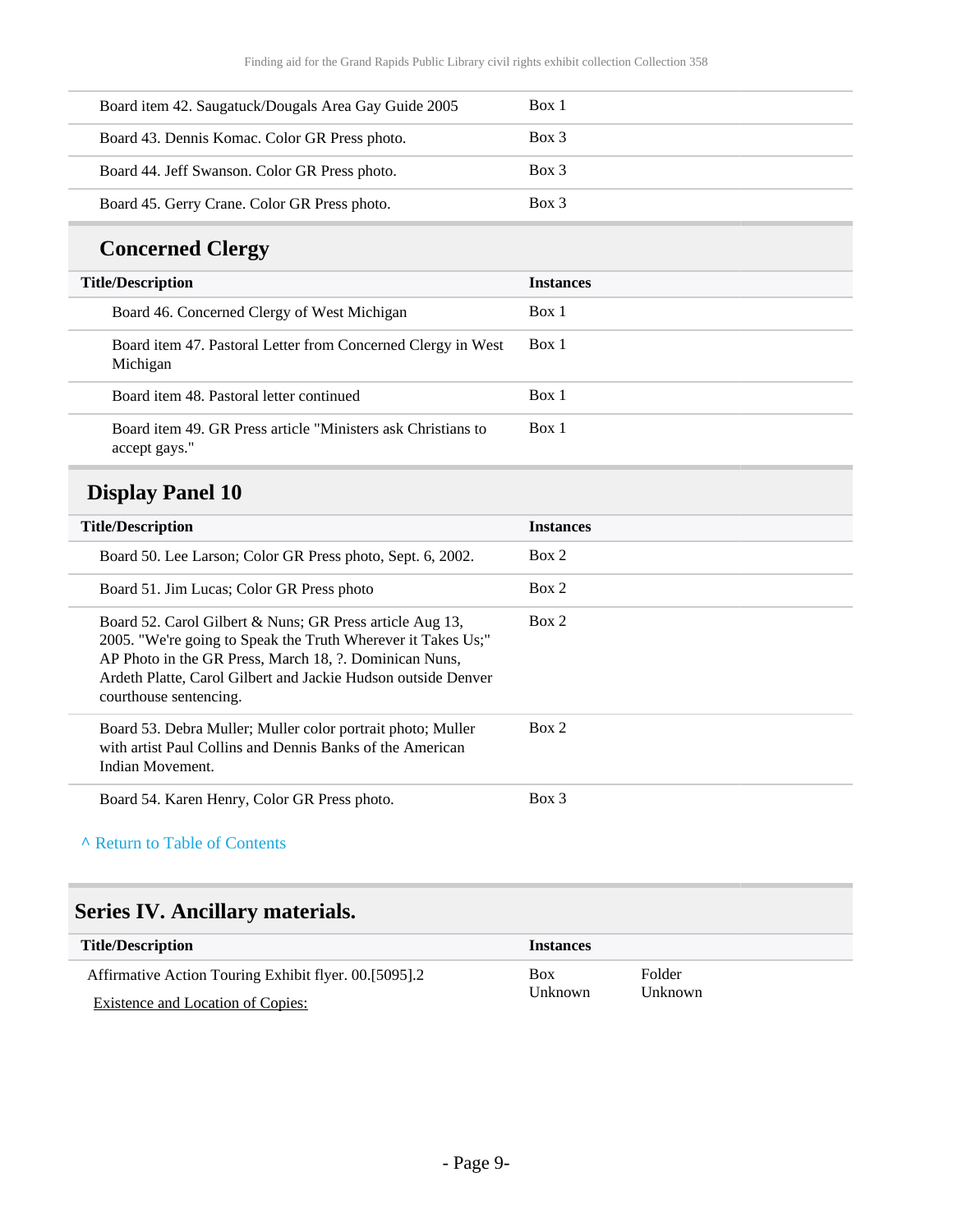| Board item 42. Saugatuck/Dougals Area Gay Guide 2005 | Box 1    |
|------------------------------------------------------|----------|
| Board 43. Dennis Komac. Color GR Press photo.        | $Box\ 3$ |
| Board 44. Jeff Swanson. Color GR Press photo.        | $Box\ 3$ |
| Board 45. Gerry Crane. Color GR Press photo.         | Box 3    |

## **Concerned Clergy**

| <b>Title/Description</b>                                                      | <b>Instances</b> |
|-------------------------------------------------------------------------------|------------------|
| Board 46. Concerned Clergy of West Michigan                                   | Box 1            |
| Board item 47. Pastoral Letter from Concerned Clergy in West<br>Michigan      | Box 1            |
| Board item 48. Pastoral letter continued                                      | Box 1            |
| Board item 49. GR Press article "Ministers ask Christians to<br>accept gays." | Box 1            |

## <span id="page-8-0"></span>**Display Panel 10**

| <b>Title/Description</b>                                                                                                                                                                                                                                                      | <b>Instances</b> |
|-------------------------------------------------------------------------------------------------------------------------------------------------------------------------------------------------------------------------------------------------------------------------------|------------------|
| Board 50. Lee Larson; Color GR Press photo, Sept. 6, 2002.                                                                                                                                                                                                                    | Box 2            |
| Board 51. Jim Lucas; Color GR Press photo                                                                                                                                                                                                                                     | Box 2            |
| Board 52. Carol Gilbert & Nuns; GR Press article Aug 13,<br>2005. "We're going to Speak the Truth Wherever it Takes Us;"<br>AP Photo in the GR Press, March 18, ?. Dominican Nuns,<br>Ardeth Platte, Carol Gilbert and Jackie Hudson outside Denver<br>courthouse sentencing. | Box 2            |
| Board 53. Debra Muller; Muller color portrait photo; Muller<br>with artist Paul Collins and Dennis Banks of the American<br>Indian Movement.                                                                                                                                  | Box 2            |
| Board 54. Karen Henry, Color GR Press photo.                                                                                                                                                                                                                                  | Box 3            |

#### **^** [Return to Table of Contents](#page-1-0)

## <span id="page-8-1"></span>**Series IV. Ancillary materials.**

| Title/Description                                     | <b>Instances</b> |         |
|-------------------------------------------------------|------------------|---------|
| Affirmative Action Touring Exhibit flyer. 00.[5095].2 | <b>Box</b>       | Folder  |
| Existence and Location of Copies:                     | <b>Unknown</b>   | Unknown |